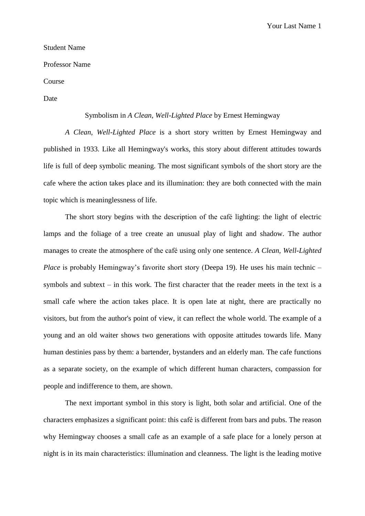Your Last Name 1

## Student Name

Professor Name

Course

Date

## Symbolism in *A Clean, Well-Lighted Place* by Ernest Hemingway

*A Clean, Well-Lighted Place* is a short story written by Ernest Hemingway and published in 1933. Like all Hemingway's works, this story about different attitudes towards life is full of deep symbolic meaning. The most significant symbols of the short story are the cafe where the action takes place and its illumination: they are both connected with the main topic which is meaninglessness of life.

The short story begins with the description of the café lighting: the light of electric lamps and the foliage of a tree create an unusual play of light and shadow. The author manages to create the atmosphere of the café using only one sentence. *A Clean, Well-Lighted Place* is probably Hemingway's favorite short story (Deepa 19). He uses his main technic – symbols and subtext – in this work. The first character that the reader meets in the text is a small cafe where the action takes place. It is open late at night, there are practically no visitors, but from the author's point of view, it can reflect the whole world. The example of a young and an old waiter shows two generations with opposite attitudes towards life. Many human destinies pass by them: a bartender, bystanders and an elderly man. The cafe functions as a separate society, on the example of which different human characters, compassion for people and indifference to them, are shown.

The next important symbol in this story is light, both solar and artificial. One of the characters emphasizes a significant point: this café is different from bars and pubs. The reason why Hemingway chooses a small cafe as an example of a safe place for a lonely person at night is in its main characteristics: illumination and cleanness. The light is the leading motive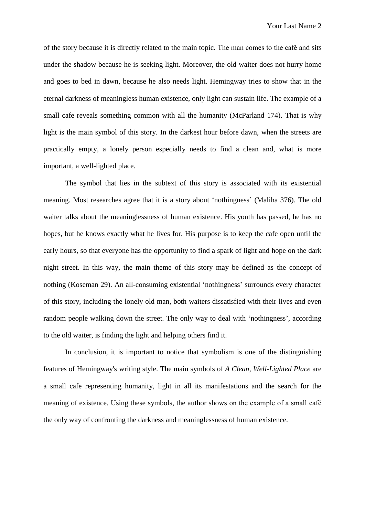of the story because it is directly related to the main topic. The man comes to the café and sits under the shadow because he is seeking light. Moreover, the old waiter does not hurry home and goes to bed in dawn, because he also needs light. Hemingway tries to show that in the eternal darkness of meaningless human existence, only light can sustain life. The example of a small cafe reveals something common with all the humanity (McParland 174). That is why light is the main symbol of this story. In the darkest hour before dawn, when the streets are practically empty, a lonely person especially needs to find a clean and, what is more important, a well-lighted place.

The symbol that lies in the subtext of this story is associated with its existential meaning. Most researches agree that it is a story about 'nothingness' (Maliha 376). The old waiter talks about the meaninglessness of human existence. His youth has passed, he has no hopes, but he knows exactly what he lives for. His purpose is to keep the cafe open until the early hours, so that everyone has the opportunity to find a spark of light and hope on the dark night street. In this way, the main theme of this story may be defined as the concept of nothing (Koseman 29). An all-consuming existential 'nothingness' surrounds every character of this story, including the lonely old man, both waiters dissatisfied with their lives and even random people walking down the street. The only way to deal with 'nothingness', according to the old waiter, is finding the light and helping others find it.

In conclusion, it is important to notice that symbolism is one of the distinguishing features of Hemingway's writing style. The main symbols of *A Clean, Well-Lighted Place* are a small cafe representing humanity, light in all its manifestations and the search for the meaning of existence. Using these symbols, the author shows on the example of a small café the only way of confronting the darkness and meaninglessness of human existence.